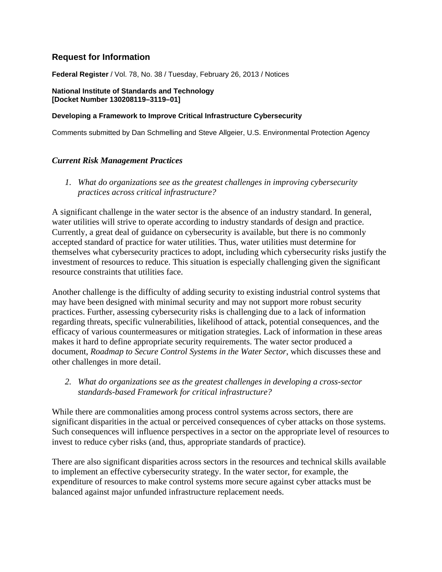# **Request for Information**

**Federal Register** / Vol. 78, No. 38 / Tuesday, February 26, 2013 / Notices

**National Institute of Standards and Technology [Docket Number 130208119–3119–01]**

#### **Developing a Framework to Improve Critical Infrastructure Cybersecurity**

Comments submitted by Dan Schmelling and Steve Allgeier, U.S. Environmental Protection Agency

### *Current Risk Management Practices*

*1. What do organizations see as the greatest challenges in improving cybersecurity practices across critical infrastructure?*

A significant challenge in the water sector is the absence of an industry standard. In general, water utilities will strive to operate according to industry standards of design and practice. Currently, a great deal of guidance on cybersecurity is available, but there is no commonly accepted standard of practice for water utilities. Thus, water utilities must determine for themselves what cybersecurity practices to adopt, including which cybersecurity risks justify the investment of resources to reduce. This situation is especially challenging given the significant resource constraints that utilities face.

Another challenge is the difficulty of adding security to existing industrial control systems that may have been designed with minimal security and may not support more robust security practices. Further, assessing cybersecurity risks is challenging due to a lack of information regarding threats, specific vulnerabilities, likelihood of attack, potential consequences, and the efficacy of various countermeasures or mitigation strategies. Lack of information in these areas makes it hard to define appropriate security requirements. The water sector produced a document, *Roadmap to Secure Control Systems in the Water Sector*, which discusses these and other challenges in more detail.

*2. What do organizations see as the greatest challenges in developing a cross-sector standards-based Framework for critical infrastructure?*

While there are commonalities among process control systems across sectors, there are significant disparities in the actual or perceived consequences of cyber attacks on those systems. Such consequences will influence perspectives in a sector on the appropriate level of resources to invest to reduce cyber risks (and, thus, appropriate standards of practice).

There are also significant disparities across sectors in the resources and technical skills available to implement an effective cybersecurity strategy. In the water sector, for example, the expenditure of resources to make control systems more secure against cyber attacks must be balanced against major unfunded infrastructure replacement needs.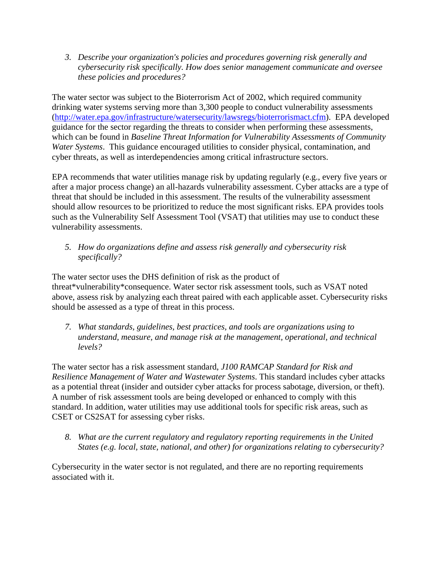*3. Describe your organization's policies and procedures governing risk generally and cybersecurity risk specifically. How does senior management communicate and oversee these policies and procedures?*

The water sector was subject to the Bioterrorism Act of 2002, which required community drinking water systems serving more than 3,300 people to conduct vulnerability assessments [\(http://water.epa.gov/infrastructure/watersecurity/lawsregs/bioterrorismact.cfm\)](http://water.epa.gov/infrastructure/watersecurity/lawsregs/bioterrorismact.cfm). EPA developed guidance for the sector regarding the threats to consider when performing these assessments, which can be found in *Baseline Threat Information for Vulnerability Assessments of Community Water Systems*. This guidance encouraged utilities to consider physical, contamination, and cyber threats, as well as interdependencies among critical infrastructure sectors.

EPA recommends that water utilities manage risk by updating regularly (e.g., every five years or after a major process change) an all-hazards vulnerability assessment. Cyber attacks are a type of threat that should be included in this assessment. The results of the vulnerability assessment should allow resources to be prioritized to reduce the most significant risks. EPA provides tools such as the Vulnerability Self Assessment Tool (VSAT) that utilities may use to conduct these vulnerability assessments.

*5. How do organizations define and assess risk generally and cybersecurity risk specifically?*

The water sector uses the DHS definition of risk as the product of threat\*vulnerability\*consequence. Water sector risk assessment tools, such as VSAT noted above, assess risk by analyzing each threat paired with each applicable asset. Cybersecurity risks should be assessed as a type of threat in this process.

*7. What standards, guidelines, best practices, and tools are organizations using to understand, measure, and manage risk at the management, operational, and technical levels?*

The water sector has a risk assessment standard, *J100 RAMCAP Standard for Risk and Resilience Management of Water and Wastewater Systems*. This standard includes cyber attacks as a potential threat (insider and outsider cyber attacks for process sabotage, diversion, or theft). A number of risk assessment tools are being developed or enhanced to comply with this standard. In addition, water utilities may use additional tools for specific risk areas, such as CSET or CS2SAT for assessing cyber risks.

*8. What are the current regulatory and regulatory reporting requirements in the United States (e.g. local, state, national, and other) for organizations relating to cybersecurity?*

Cybersecurity in the water sector is not regulated, and there are no reporting requirements associated with it.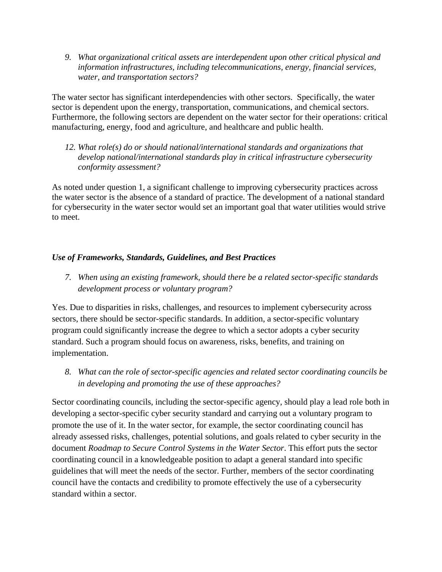*9. What organizational critical assets are interdependent upon other critical physical and information infrastructures, including telecommunications, energy, financial services, water, and transportation sectors?*

The water sector has significant interdependencies with other sectors. Specifically, the water sector is dependent upon the energy, transportation, communications, and chemical sectors. Furthermore, the following sectors are dependent on the water sector for their operations: critical manufacturing, energy, food and agriculture, and healthcare and public health.

*12. What role(s) do or should national/international standards and organizations that develop national/international standards play in critical infrastructure cybersecurity conformity assessment?*

As noted under question 1, a significant challenge to improving cybersecurity practices across the water sector is the absence of a standard of practice. The development of a national standard for cybersecurity in the water sector would set an important goal that water utilities would strive to meet.

# *Use of Frameworks, Standards, Guidelines, and Best Practices*

*7. When using an existing framework, should there be a related sector-specific standards development process or voluntary program?*

Yes. Due to disparities in risks, challenges, and resources to implement cybersecurity across sectors, there should be sector-specific standards. In addition, a sector-specific voluntary program could significantly increase the degree to which a sector adopts a cyber security standard. Such a program should focus on awareness, risks, benefits, and training on implementation.

*8. What can the role of sector-specific agencies and related sector coordinating councils be in developing and promoting the use of these approaches?*

Sector coordinating councils, including the sector-specific agency, should play a lead role both in developing a sector-specific cyber security standard and carrying out a voluntary program to promote the use of it. In the water sector, for example, the sector coordinating council has already assessed risks, challenges, potential solutions, and goals related to cyber security in the document *Roadmap to Secure Control Systems in the Water Sector*. This effort puts the sector coordinating council in a knowledgeable position to adapt a general standard into specific guidelines that will meet the needs of the sector. Further, members of the sector coordinating council have the contacts and credibility to promote effectively the use of a cybersecurity standard within a sector.